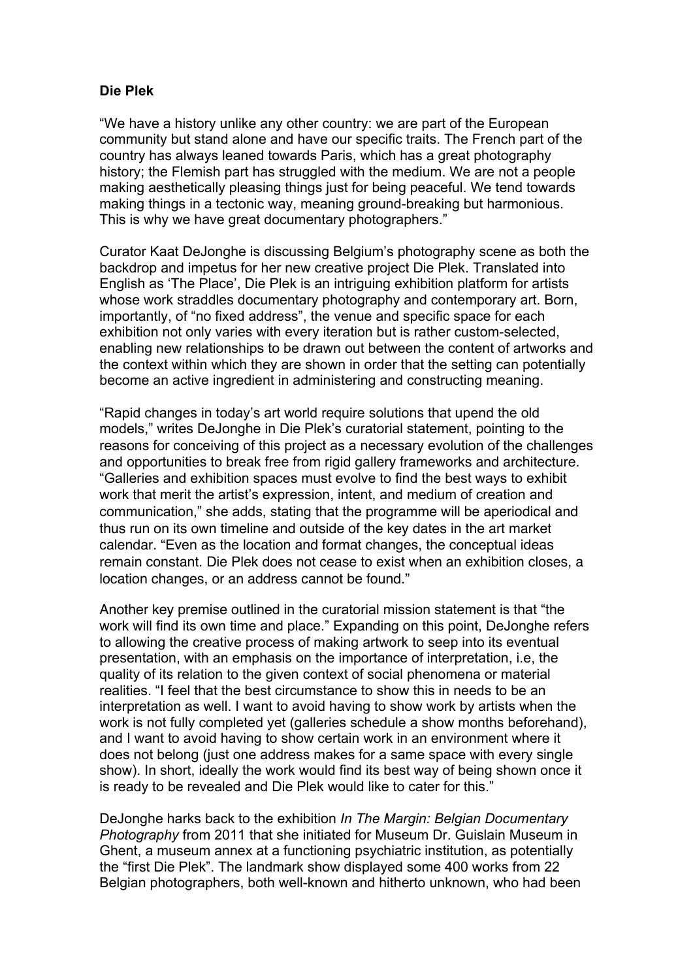## **Die Plek**

"We have a history unlike any other country: we are part of the European community but stand alone and have our specific traits. The French part of the country has always leaned towards Paris, which has a great photography history; the Flemish part has struggled with the medium. We are not a people making aesthetically pleasing things just for being peaceful. We tend towards making things in a tectonic way, meaning ground-breaking but harmonious. This is why we have great documentary photographers."

Curator Kaat DeJonghe is discussing Belgium's photography scene as both the backdrop and impetus for her new creative project Die Plek. Translated into English as 'The Place', Die Plek is an intriguing exhibition platform for artists whose work straddles documentary photography and contemporary art. Born, importantly, of "no fixed address", the venue and specific space for each exhibition not only varies with every iteration but is rather custom-selected, enabling new relationships to be drawn out between the content of artworks and the context within which they are shown in order that the setting can potentially become an active ingredient in administering and constructing meaning.

"Rapid changes in today's art world require solutions that upend the old models," writes DeJonghe in Die Plek's curatorial statement, pointing to the reasons for conceiving of this project as a necessary evolution of the challenges and opportunities to break free from rigid gallery frameworks and architecture. "Galleries and exhibition spaces must evolve to find the best ways to exhibit work that merit the artist's expression, intent, and medium of creation and communication," she adds, stating that the programme will be aperiodical and thus run on its own timeline and outside of the key dates in the art market calendar. "Even as the location and format changes, the conceptual ideas remain constant. Die Plek does not cease to exist when an exhibition closes, a location changes, or an address cannot be found."

Another key premise outlined in the curatorial mission statement is that "the work will find its own time and place." Expanding on this point, DeJonghe refers to allowing the creative process of making artwork to seep into its eventual presentation, with an emphasis on the importance of interpretation, i.e, the quality of its relation to the given context of social phenomena or material realities. "I feel that the best circumstance to show this in needs to be an interpretation as well. I want to avoid having to show work by artists when the work is not fully completed yet (galleries schedule a show months beforehand), and I want to avoid having to show certain work in an environment where it does not belong (just one address makes for a same space with every single show). In short, ideally the work would find its best way of being shown once it is ready to be revealed and Die Plek would like to cater for this."

DeJonghe harks back to the exhibition *In The Margin: Belgian Documentary Photography* from 2011 that she initiated for Museum Dr. Guislain Museum in Ghent, a museum annex at a functioning psychiatric institution, as potentially the "first Die Plek". The landmark show displayed some 400 works from 22 Belgian photographers, both well-known and hitherto unknown, who had been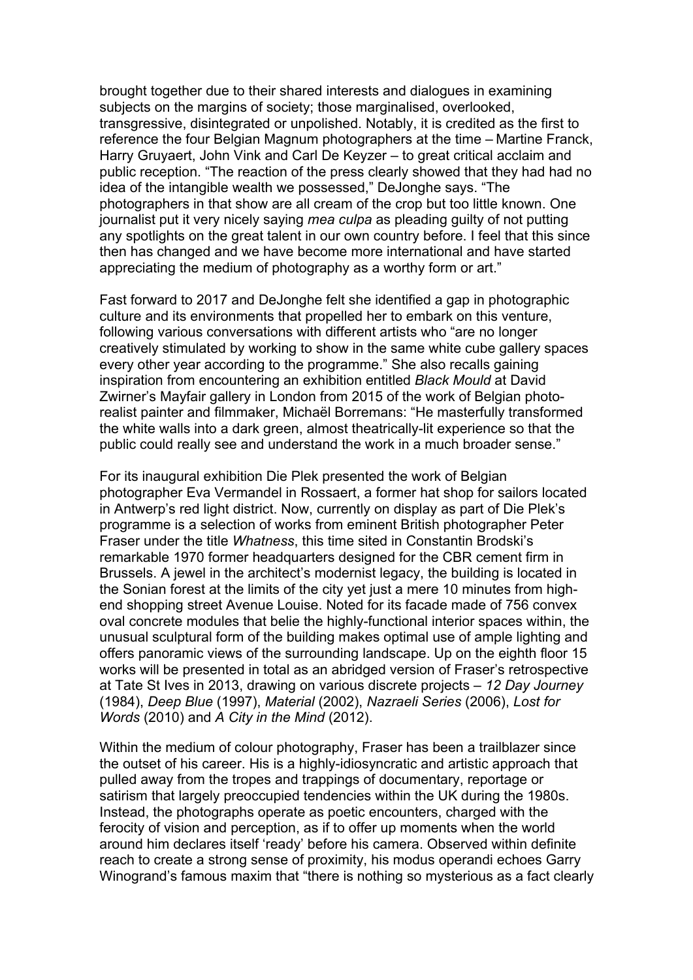brought together due to their shared interests and dialogues in examining subjects on the margins of society; those marginalised, overlooked, transgressive, disintegrated or unpolished. Notably, it is credited as the first to reference the four Belgian Magnum photographers at the time – Martine Franck, Harry Gruyaert, John Vink and Carl De Keyzer – to great critical acclaim and public reception. "The reaction of the press clearly showed that they had had no idea of the intangible wealth we possessed," DeJonghe says. "The photographers in that show are all cream of the crop but too little known. One journalist put it very nicely saying *mea culpa* as pleading guilty of not putting any spotlights on the great talent in our own country before. I feel that this since then has changed and we have become more international and have started appreciating the medium of photography as a worthy form or art."

Fast forward to 2017 and DeJonghe felt she identified a gap in photographic culture and its environments that propelled her to embark on this venture, following various conversations with different artists who "are no longer creatively stimulated by working to show in the same white cube gallery spaces every other year according to the programme." She also recalls gaining inspiration from encountering an exhibition entitled *Black Mould* at David Zwirner's Mayfair gallery in London from 2015 of the work of Belgian photorealist painter and filmmaker, Michaël Borremans: "He masterfully transformed the white walls into a dark green, almost theatrically-lit experience so that the public could really see and understand the work in a much broader sense."

For its inaugural exhibition Die Plek presented the work of Belgian photographer Eva Vermandel in Rossaert, a former hat shop for sailors located in Antwerp's red light district. Now, currently on display as part of Die Plek's programme is a selection of works from eminent British photographer Peter Fraser under the title *Whatness*, this time sited in Constantin Brodski's remarkable 1970 former headquarters designed for the CBR cement firm in Brussels. A jewel in the architect's modernist legacy, the building is located in the Sonian forest at the limits of the city yet just a mere 10 minutes from highend shopping street Avenue Louise. Noted for its facade made of 756 convex oval concrete modules that belie the highly-functional interior spaces within, the unusual sculptural form of the building makes optimal use of ample lighting and offers panoramic views of the surrounding landscape. Up on the eighth floor 15 works will be presented in total as an abridged version of Fraser's retrospective at Tate St Ives in 2013, drawing on various discrete projects – *12 Day Journey* (1984), *Deep Blue* (1997), *Material* (2002), *Nazraeli Series* (2006), *Lost for Words* (2010) and *A City in the Mind* (2012).

Within the medium of colour photography, Fraser has been a trailblazer since the outset of his career. His is a highly-idiosyncratic and artistic approach that pulled away from the tropes and trappings of documentary, reportage or satirism that largely preoccupied tendencies within the UK during the 1980s. Instead, the photographs operate as poetic encounters, charged with the ferocity of vision and perception, as if to offer up moments when the world around him declares itself 'ready' before his camera. Observed within definite reach to create a strong sense of proximity, his modus operandi echoes Garry Winogrand's famous maxim that "there is nothing so mysterious as a fact clearly